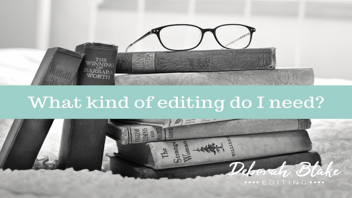

# What kind of editing do I need?

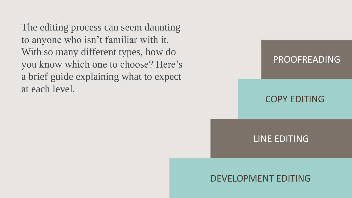The editing process can seem daunting to anyone who isn't familiar with it. With so many different types, how do you know which one to choose? Here's a brief guide explaining what to expect at each level.



### COPY EDITING

LINE EDITING

#### DEVELOPMENT EDITING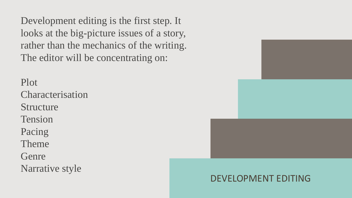Development editing is the first step. It looks at the big-picture issues of a story, rather than the mechanics of the writing. The editor will be concentrating on:

Plot Characterisation Structure Tension Pacing Theme Genre Narrative style



## DEVELOPMENT EDITING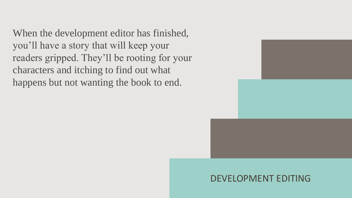When the development editor has finished, you'll have a story that will keep your readers gripped. They'll be rooting for your characters and itching to find out what happens but not wanting the book to end.



#### DEVELOPMENT EDITING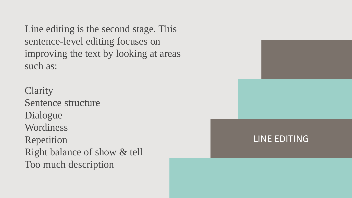Line editing is the second stage. This sentence-level editing focuses on improving the text by looking at areas such as:

**Clarity** Sentence structure Dialogue Wordiness Repetition Right balance of show & tell Too much description

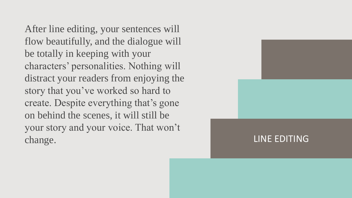After line editing, your sentences will flow beautifully, and the dialogue will be totally in keeping with your characters' personalities. Nothing will distract your readers from enjoying the story that you've worked so hard to create. Despite everything that's gone on behind the scenes, it will still be your story and your voice. That won't change.

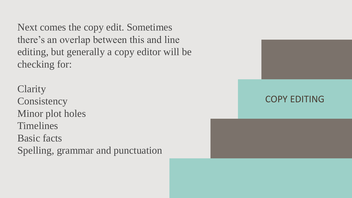Next comes the copy edit. Sometimes there's an overlap between this and line editing, but generally a copy editor will be checking for:

COPY EDITING

**Clarity Consistency** Minor plot holes Timelines Basic facts Spelling, grammar and punctuation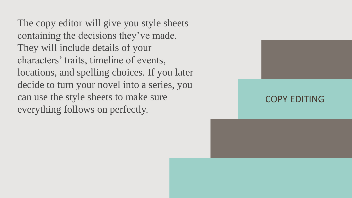The copy editor will give you style sheets containing the decisions they've made. They will include details of your characters' traits, timeline of events, locations, and spelling choices. If you later decide to turn your novel into a series, you can use the style sheets to make sure everything follows on perfectly.

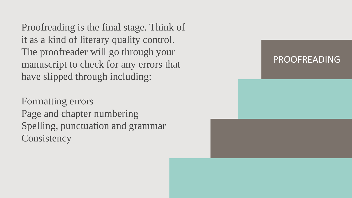Proofreading is the final stage. Think of it as a kind of literary quality control. The proofreader will go through your manuscript to check for any errors that have slipped through including:

Formatting errors Page and chapter numbering Spelling, punctuation and grammar **Consistency**